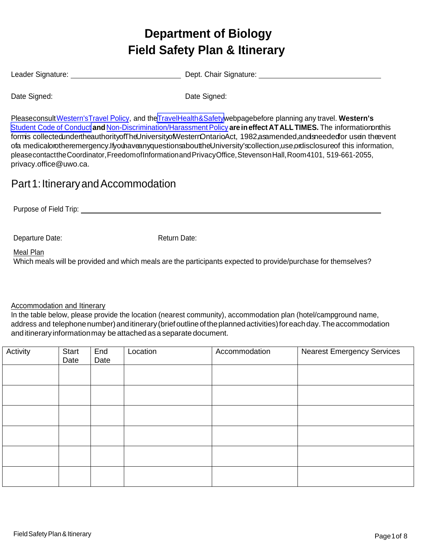# **Department of Biology Field Safety Plan & Itinerary**

Leader Signature: Dept. Chair Signature:

Date Signed: Date Signed:

Pleaseconsult [Western's Travel](http://www.uwo.ca/univsec/pdf/policies_procedures/section2/mapp216.pdf) Policy, and the Travel Health & Safetywebpage before planning any travel. Western's [Student Code](http://www.uwo.ca/univsec/pdf/board/code.pdf) of Conduct **and**[Non-Discrimination/Harassment Policy](http://www.uwo.ca/univsec/pdf/policies_procedures/section1/mapp135.pdf) **are ineffect ATALL TIMES.** The informationonthis formis collectedundertheauthorityofTheUniversityofWesterrOntarioAct, 1982,asamended,andsneededfor usein theevent ofa medicalorotheremergency.IfyouhaveanyquestionsabouttheUniversity'scollection,use,ordisclosure of this information, please contact the Coordinator, Freedom ofInformation and PrivacyOffice, Stevenson Hall,Room4101, 519-661-2055, privacy.office[@uwo.ca.](mailto:privacy.office@uwo.ca)

### Part 1: Itinerary and Accommodation

Purpose of Field Trip:

Departure Date: Network Charles Return Date:

Meal Plan

Which meals will be provided and which meals are the participants expected to provide/purchase for themselves?

Accommodation and Itinerary

In the table below, please provide the location (nearest community), accommodation plan (hotel/campground name, address and telephone number) and itinerary (brief outline of the planned activities) for each day. The accommodation anditineraryinformationmay be attached as a separate document.

| Activity | Start<br>Date | End<br>Date | Location | Accommodation | <b>Nearest Emergency Services</b> |
|----------|---------------|-------------|----------|---------------|-----------------------------------|
|          |               |             |          |               |                                   |
|          |               |             |          |               |                                   |
|          |               |             |          |               |                                   |
|          |               |             |          |               |                                   |
|          |               |             |          |               |                                   |
|          |               |             |          |               |                                   |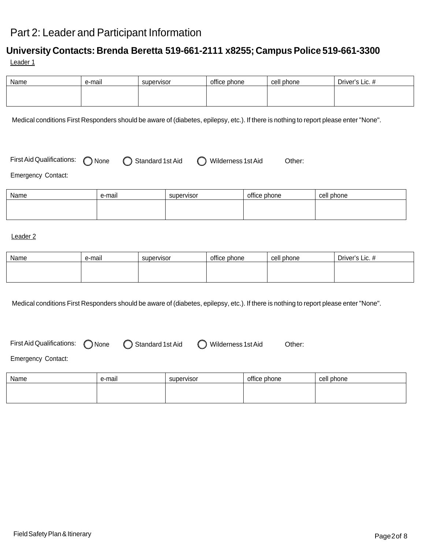### Part 2: Leader and Participant Information

### **University Contacts: Brenda Beretta 519-661-2111 x8255; Campus Police 519-661-3300** Leader 1

| Name | e-mail | supervisor | office phone | cell phone | Driver's Lic. # |
|------|--------|------------|--------------|------------|-----------------|
|      |        |            |              |            |                 |
|      |        |            |              |            |                 |

Medical conditions First Responders should be aware of (diabetes, epilepsy, etc.). If there is nothing to report please enter "None".

| First Aid Qualifications: $\bigcap$ None |  | ◯ Standard 1st Aid | ◯ Wilderness 1st Aid | Other: |
|------------------------------------------|--|--------------------|----------------------|--------|
|------------------------------------------|--|--------------------|----------------------|--------|

Emergency Contact:

| Name | . .<br>e-mail | supervisor | office phone | cell phone |
|------|---------------|------------|--------------|------------|
|      |               |            |              |            |
|      |               |            |              |            |

#### Leader 2

| Name | . .<br>e-mail | supervisor | office phone | cell phone | Driver's Lic. # |
|------|---------------|------------|--------------|------------|-----------------|
|      |               |            |              |            |                 |
|      |               |            |              |            |                 |

Medical conditions First Responders should be aware of (diabetes, epilepsy, etc.). If there is nothing to report please enter "None".

First Aid Qualifications:  $\bigcirc$  None  $\bigcirc$  Standard 1st Aid  $\bigcirc$  Wilderness 1st Aid Other:

Emergency Contact:

| Name | e-mail | supervisor | office phone | cell phone |
|------|--------|------------|--------------|------------|
|      |        |            |              |            |
|      |        |            |              |            |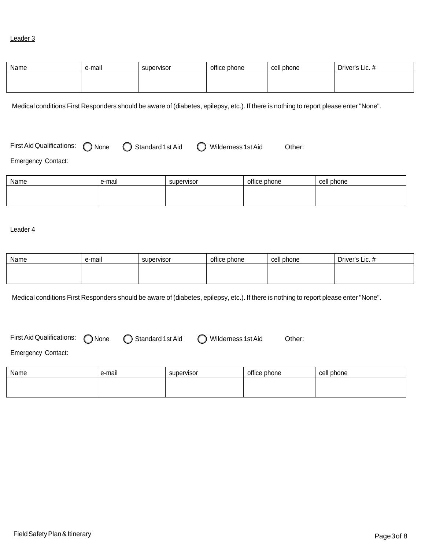#### Leader 3

| Name | . .<br>e-mail | supervisor | office phone | cell phone | Driver's Lic. # |
|------|---------------|------------|--------------|------------|-----------------|
|      |               |            |              |            |                 |
|      |               |            |              |            |                 |

Medical conditions First Responders should be aware of (diabetes, epilepsy, etc.). If there is nothing to report please enter "None".

First Aid Qualifications:  $\bigcirc$  None  $\bigcirc$  Standard 1st Aid  $\bigcirc$  Wilderness 1st Aid Other:

Emergency Contact:

| Name | e-mail | supervisor | office phone | cell phone |
|------|--------|------------|--------------|------------|
|      |        |            |              |            |
|      |        |            |              |            |

#### Leader 4

| Name | e-mail | supervisor | office phone | cell phone | Driver's Lic. # |
|------|--------|------------|--------------|------------|-----------------|
|      |        |            |              |            |                 |
|      |        |            |              |            |                 |

Medical conditions First Responders should be aware of (diabetes, epilepsy, etc.). If there is nothing to report please enter "None".

First Aid Qualifications: 
<br>
O None  $\bigcirc$  Standard 1st Aid  $\bigcirc$  Wilderness 1st Aid Other:

Emergency Contact:

| Name | e-mail | supervisor | office phone | cell phone |
|------|--------|------------|--------------|------------|
|      |        |            |              |            |
|      |        |            |              |            |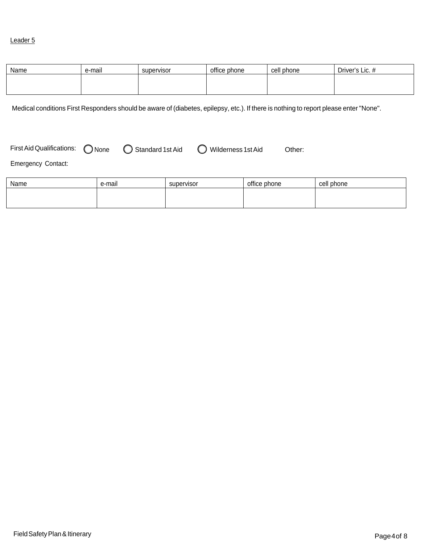#### Leader 5

| Name | . .<br>e-mail | supervisor | office phone | cell phone | Driver's Lic. # |
|------|---------------|------------|--------------|------------|-----------------|
|      |               |            |              |            |                 |
|      |               |            |              |            |                 |

Medical conditions First Responders should be aware of (diabetes, epilepsy, etc.). If there is nothing to report please enter "None".

First Aid Qualifications:  $\bigcirc$  None  $\bigcirc$  Standard 1st Aid  $\bigcirc$  Wilderness 1st Aid Other:

Emergency Contact:

| Name | e-mail | supervisor | office phone | cell phone |
|------|--------|------------|--------------|------------|
|      |        |            |              |            |
|      |        |            |              |            |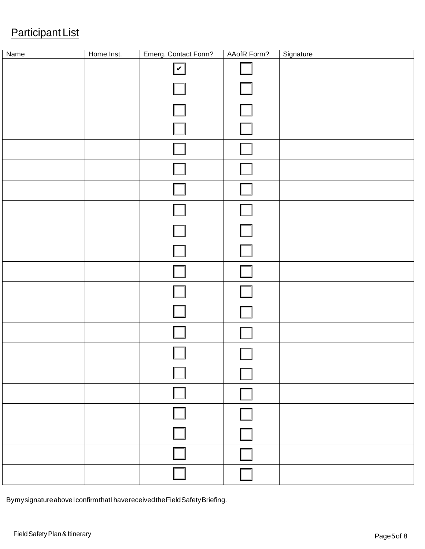## Participant List

| Name | Home Inst. | Emerg. Contact Form? | AAofR Form? | Signature |
|------|------------|----------------------|-------------|-----------|
|      |            | $\boxed{\checkmark}$ |             |           |
|      |            |                      |             |           |
|      |            |                      |             |           |
|      |            |                      |             |           |
|      |            |                      |             |           |
|      |            |                      |             |           |
|      |            |                      |             |           |
|      |            |                      |             |           |
|      |            |                      |             |           |
|      |            |                      |             |           |
|      |            |                      |             |           |
|      |            |                      |             |           |
|      |            |                      |             |           |
|      |            |                      |             |           |
|      |            |                      |             |           |
|      |            |                      |             |           |
|      |            |                      |             |           |
|      |            |                      |             |           |
|      |            |                      |             |           |
|      |            |                      |             |           |
|      |            |                      |             |           |

Bymysignatureabove I confirmthat I havereceivedtheFieldSafetyBriefing.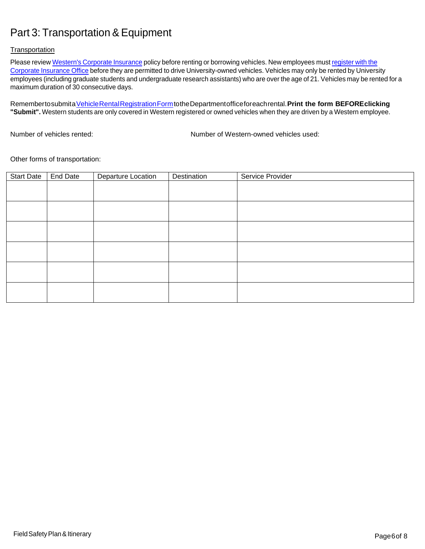### Part 3: Transportation & Equipment

#### **Transportation**

Please review Western's [Corporate](http://www.uwo.ca/hr/safety/insurance/rentals.html#University%20Corporate%20Insurance) Insurance policy before renting or borrowing vehicles. New employees must register with the Corporate Insurance Office before they are permitted to drive [University-owned](http://www.uwo.ca/hr/form_doc/pay_admin/form/driver.pdf) vehicles. Vehicles may only be rented by University employees (including graduate students and undergraduate research assistants) who are over the age of 21. Vehicles may be rented for a maximum duration of 30 consecutive days.

Remembertosubmita [VehicleRentalRegistrationForm](https://www.uwo.ca/hr/facultystaff/rental_reg.html)totheDepartmentofficeforeachrental.**Print the form BEFOREclicking "Submit".** Western students are only covered in Western registered or owned vehicles when they are driven by a Western employee.

Number of vehicles rented: Number of Western-owned vehicles used:

Other forms of transportation:

| <b>Start Date</b> | End Date | Departure Location | Destination | Service Provider |
|-------------------|----------|--------------------|-------------|------------------|
|                   |          |                    |             |                  |
|                   |          |                    |             |                  |
|                   |          |                    |             |                  |
|                   |          |                    |             |                  |
|                   |          |                    |             |                  |
|                   |          |                    |             |                  |
|                   |          |                    |             |                  |
|                   |          |                    |             |                  |
|                   |          |                    |             |                  |
|                   |          |                    |             |                  |
|                   |          |                    |             |                  |
|                   |          |                    |             |                  |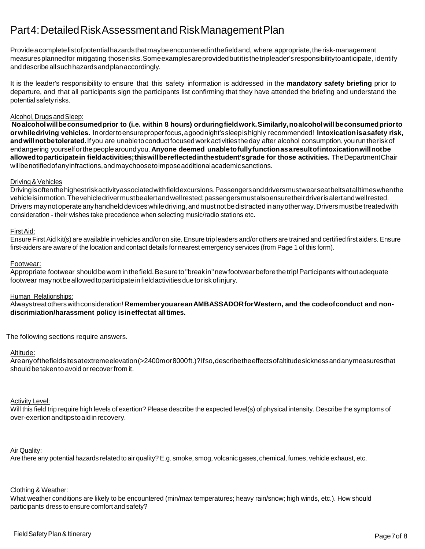### Part4:DetailedRiskAssessmentandRiskManagementPlan

Provide a completelistofpotentialhazardsthatmaybeencounteredinthefieldand, where appropriate,therisk-management measuresplannedfor mitigating thoserisks.Someexamplesareprovidedbutitisthetripleader'sresponsibilitytoanticipate, identify anddescribeallsuchhazardsandplanaccordingly.

It is the leader's responsibility to ensure that this safety information is addressed in the **mandatory safety briefing** prior to departure, and that all participants sign the participants list confirming that they have attended the briefing and understand the potential safety risks.

#### Alcohol, Drugs and Sleep:

**Noalcoholwillbeconsumedprior to (i.e. within 8 hours) orduringfieldwork.Similarly,noalcoholwillbeconsumedpriorto orwhiledriving vehicles.** Inordertoensureproperfocus, a goodnight'ssleepishighly recommended! **Intoxicationis a safety risk,** and will not be tolerated. If you are unable to conduct focused work activities the day after alcohol consumption, you run the risk of endangering yourselforthepeoplearoundyou. **Anyone deemed unabletofullyfunctionas a resultofintoxicationwillnotbe allowedtoparticipatein fieldactivities;thiswillbereflectedinthestudent'sgrade for those activities.** TheDepartmentChair willbenotifiedofanyinfractions,andmaychoosetoimposeadditionalacademicsanctions.

#### Driving & Vehicles

Drivingisoftenthehighestriskactivityassociatedwithfieldexcursions.Passengersanddriversmustwearseatbeltsatalltimeswhenthe vehicleisinmotion.Thevehicledrivermustbealertandwellrested;passengersmustalsoensuretheirdriverisalertandwellrested. Drivers maynotoperateanyhandhelddeviceswhiledriving,andmustnotbedistractedinanyotherway.Driversmustbetreatedwith consideration - their wishes take precedence when selecting music/radio stations etc.

#### FirstAid:

Ensure First Aid kit(s) are available in vehicles and/or on site. Ensure trip leaders and/or others are trained and certified first aiders. Ensure first-aiders are aware of the location and contact details for nearest emergency services (from Page 1 of this form).

#### Footwear:

Appropriate footwear should be worn in the field. Be sure to "break in" new footwear before the trip! Participants without adequate footwear maynotbeallowedtoparticipateinfieldactivitiesduetoriskofinjury.

#### Human Relationships:

Alwaystreatotherswithconsideration!**RememberyouareanAMBASSADORforWestern, and the codeofconduct and nondiscrimiation/harassment policy isineffectat alltimes.**

The following sections require answers.

#### Altitude:

Areanyofthefieldsitesatextremeelevation(>2400mor8000ft.)?Ifso,describetheeffectsofaltitudesicknessandanymeasuresthat should be taken to avoid or recover from it.

#### Activity Level:

Will this field trip require high levels of exertion? Please describe the expected level(s) of physical intensity. Describe the symptoms of over-exertionandtipstoaidinrecovery.

#### Air Quality:

Are there any potential hazards related to air quality?E.g. smoke, smog, volcanic gases, chemical, fumes, vehicle exhaust, etc.

#### Clothing & Weather:

What weather conditions are likely to be encountered (min/max temperatures; heavy rain/snow; high winds, etc.). How should participants dress to ensure comfort and safety?